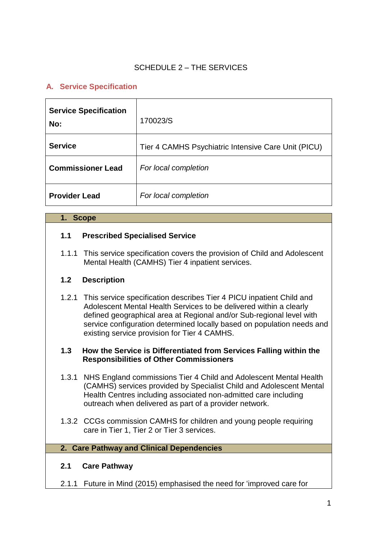#### SCHEDULE 2 – THE SERVICES

### **A. Service Specification**

| <b>Service Specification</b><br>No: | 170023/S                                            |
|-------------------------------------|-----------------------------------------------------|
| <b>Service</b>                      | Tier 4 CAMHS Psychiatric Intensive Care Unit (PICU) |
| <b>Commissioner Lead</b>            | For local completion                                |
| <b>Provider Lead</b>                | For local completion                                |

#### **1. Scope**

#### **1.1 Prescribed Specialised Service**

1.1.1 This service specification covers the provision of Child and Adolescent Mental Health (CAMHS) Tier 4 inpatient services.

#### **1.2 Description**

1.2.1 This service specification describes Tier 4 PICU inpatient Child and Adolescent Mental Health Services to be delivered within a clearly defined geographical area at Regional and/or Sub-regional level with service configuration determined locally based on population needs and existing service provision for Tier 4 CAMHS.

#### **1.3 How the Service is Differentiated from Services Falling within the Responsibilities of Other Commissioners**

- 1.3.1 NHS England commissions Tier 4 Child and Adolescent Mental Health (CAMHS) services provided by Specialist Child and Adolescent Mental Health Centres including associated non-admitted care including outreach when delivered as part of a provider network.
- 1.3.2 CCGs commission CAMHS for children and young people requiring care in Tier 1, Tier 2 or Tier 3 services.

#### **2. Care Pathway and Clinical Dependencies**

#### **2.1 Care Pathway**

2.1.1 Future in Mind (2015) emphasised the need for 'improved care for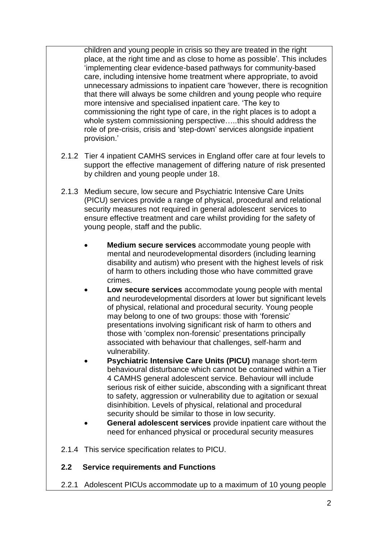children and young people in crisis so they are treated in the right place, at the right time and as close to home as possible'. This includes 'implementing clear evidence-based pathways for community-based care, including intensive home treatment where appropriate, to avoid unnecessary admissions to inpatient care 'however, there is recognition that there will always be some children and young people who require more intensive and specialised inpatient care. 'The key to commissioning the right type of care, in the right places is to adopt a whole system commissioning perspective…..this should address the role of pre-crisis, crisis and 'step-down' services alongside inpatient provision.'

- 2.1.2 Tier 4 inpatient CAMHS services in England offer care at four levels to support the effective management of differing nature of risk presented by children and young people under 18.
- 2.1.3 Medium secure, low secure and Psychiatric Intensive Care Units (PICU) services provide a range of physical, procedural and relational security measures not required in general adolescent services to ensure effective treatment and care whilst providing for the safety of young people, staff and the public.
	- **Medium secure services** accommodate young people with mental and neurodevelopmental disorders (including learning disability and autism) who present with the highest levels of risk of harm to others including those who have committed grave crimes.
	- **Low secure services** accommodate young people with mental and neurodevelopmental disorders at lower but significant levels of physical, relational and procedural security. Young people may belong to one of two groups: those with 'forensic' presentations involving significant risk of harm to others and those with 'complex non-forensic' presentations principally associated with behaviour that challenges, self-harm and vulnerability.
	- **Psychiatric Intensive Care Units (PICU)** manage short-term behavioural disturbance which cannot be contained within a Tier 4 CAMHS general adolescent service. Behaviour will include serious risk of either suicide, absconding with a significant threat to safety, aggression or vulnerability due to agitation or sexual disinhibition. Levels of physical, relational and procedural security should be similar to those in low security.
	- **General adolescent services** provide inpatient care without the need for enhanced physical or procedural security measures
- 2.1.4 This service specification relates to PICU.

### **2.2 Service requirements and Functions**

2.2.1 Adolescent PICUs accommodate up to a maximum of 10 young people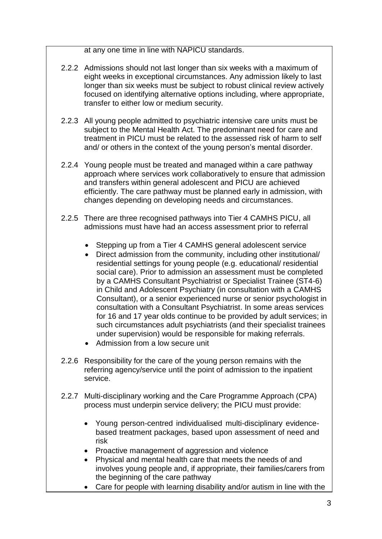at any one time in line with NAPICU standards.

- 2.2.2 Admissions should not last longer than six weeks with a maximum of eight weeks in exceptional circumstances. Any admission likely to last longer than six weeks must be subject to robust clinical review actively focused on identifying alternative options including, where appropriate, transfer to either low or medium security.
- 2.2.3 All young people admitted to psychiatric intensive care units must be subject to the Mental Health Act. The predominant need for care and treatment in PICU must be related to the assessed risk of harm to self and/ or others in the context of the young person's mental disorder.
- 2.2.4 Young people must be treated and managed within a care pathway approach where services work collaboratively to ensure that admission and transfers within general adolescent and PICU are achieved efficiently. The care pathway must be planned early in admission, with changes depending on developing needs and circumstances.
- 2.2.5 There are three recognised pathways into Tier 4 CAMHS PICU, all admissions must have had an access assessment prior to referral
	- Stepping up from a Tier 4 CAMHS general adolescent service
	- Direct admission from the community, including other institutional/ residential settings for young people (e.g. educational/ residential social care). Prior to admission an assessment must be completed by a CAMHS Consultant Psychiatrist or Specialist Trainee (ST4-6) in Child and Adolescent Psychiatry (in consultation with a CAMHS Consultant), or a senior experienced nurse or senior psychologist in consultation with a Consultant Psychiatrist. In some areas services for 16 and 17 year olds continue to be provided by adult services; in such circumstances adult psychiatrists (and their specialist trainees under supervision) would be responsible for making referrals.
	- Admission from a low secure unit
- 2.2.6 Responsibility for the care of the young person remains with the referring agency/service until the point of admission to the inpatient service.
- 2.2.7 Multi-disciplinary working and the Care Programme Approach (CPA) process must underpin service delivery; the PICU must provide:
	- Young person-centred individualised multi-disciplinary evidencebased treatment packages, based upon assessment of need and risk
	- Proactive management of aggression and violence
	- Physical and mental health care that meets the needs of and involves young people and, if appropriate, their families/carers from the beginning of the care pathway
	- Care for people with learning disability and/or autism in line with the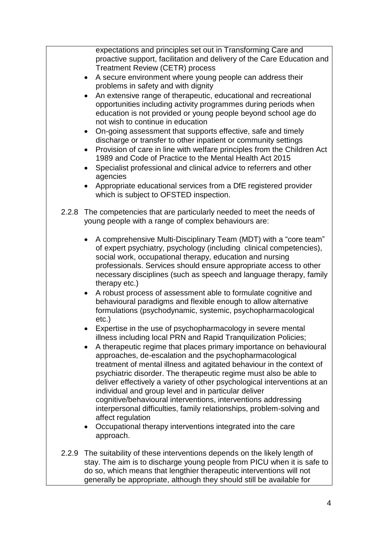expectations and principles set out in Transforming Care and proactive support, facilitation and delivery of the Care Education and Treatment Review (CETR) process

- A secure environment where young people can address their problems in safety and with dignity
- An extensive range of therapeutic, educational and recreational opportunities including activity programmes during periods when education is not provided or young people beyond school age do not wish to continue in education
- On-going assessment that supports effective, safe and timely discharge or transfer to other inpatient or community settings
- Provision of care in line with welfare principles from the Children Act 1989 and Code of Practice to the Mental Health Act 2015
- Specialist professional and clinical advice to referrers and other agencies
- Appropriate educational services from a DfE registered provider which is subject to OFSTED inspection.
- 2.2.8 The competencies that are particularly needed to meet the needs of young people with a range of complex behaviours are:
	- A comprehensive Multi-Disciplinary Team (MDT) with a "core team" of expert psychiatry, psychology (including clinical competencies), social work, occupational therapy, education and nursing professionals. Services should ensure appropriate access to other necessary disciplines (such as speech and language therapy, family therapy etc.)
	- A robust process of assessment able to formulate cognitive and behavioural paradigms and flexible enough to allow alternative formulations (psychodynamic, systemic, psychopharmacological etc.)
	- Expertise in the use of psychopharmacology in severe mental illness including local PRN and Rapid Tranquilization Policies;
	- A therapeutic regime that places primary importance on behavioural approaches, de-escalation and the psychopharmacological treatment of mental illness and agitated behaviour in the context of psychiatric disorder. The therapeutic regime must also be able to deliver effectively a variety of other psychological interventions at an individual and group level and in particular deliver cognitive/behavioural interventions, interventions addressing interpersonal difficulties, family relationships, problem-solving and affect regulation
	- Occupational therapy interventions integrated into the care approach.
- 2.2.9 The suitability of these interventions depends on the likely length of stay. The aim is to discharge young people from PICU when it is safe to do so, which means that lengthier therapeutic interventions will not generally be appropriate, although they should still be available for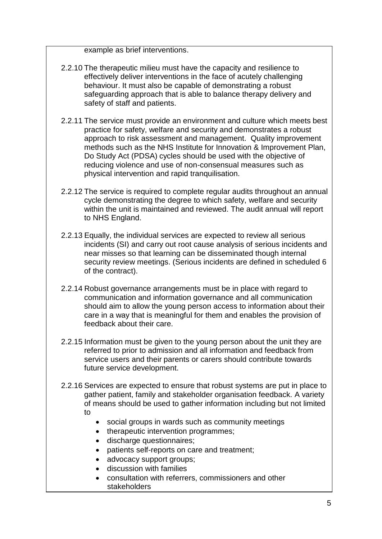example as brief interventions.

- 2.2.10 The therapeutic milieu must have the capacity and resilience to effectively deliver interventions in the face of acutely challenging behaviour. It must also be capable of demonstrating a robust safeguarding approach that is able to balance therapy delivery and safety of staff and patients.
- 2.2.11 The service must provide an environment and culture which meets best practice for safety, welfare and security and demonstrates a robust approach to risk assessment and management. Quality improvement methods such as the NHS Institute for Innovation & Improvement Plan, Do Study Act (PDSA) cycles should be used with the objective of reducing violence and use of non-consensual measures such as physical intervention and rapid tranquilisation.
- 2.2.12 The service is required to complete regular audits throughout an annual cycle demonstrating the degree to which safety, welfare and security within the unit is maintained and reviewed. The audit annual will report to NHS England.
- 2.2.13 Equally, the individual services are expected to review all serious incidents (SI) and carry out root cause analysis of serious incidents and near misses so that learning can be disseminated though internal security review meetings. (Serious incidents are defined in scheduled 6 of the contract).
- 2.2.14 Robust governance arrangements must be in place with regard to communication and information governance and all communication should aim to allow the young person access to information about their care in a way that is meaningful for them and enables the provision of feedback about their care.
- 2.2.15 Information must be given to the young person about the unit they are referred to prior to admission and all information and feedback from service users and their parents or carers should contribute towards future service development.
- 2.2.16 Services are expected to ensure that robust systems are put in place to gather patient, family and stakeholder organisation feedback. A variety of means should be used to gather information including but not limited to
	- social groups in wards such as community meetings
	- therapeutic intervention programmes;
	- discharge questionnaires;
	- patients self-reports on care and treatment;
	- advocacy support groups;
	- discussion with families
	- consultation with referrers, commissioners and other stakeholders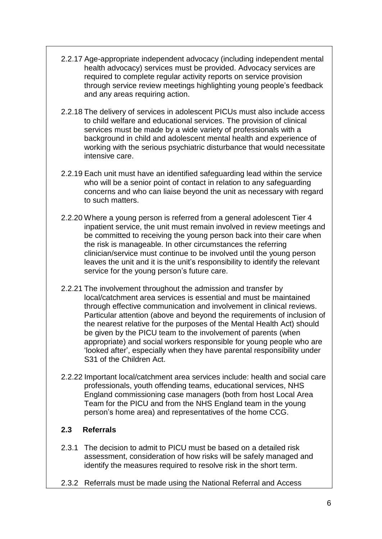- 2.2.17 Age-appropriate independent advocacy (including independent mental health advocacy) services must be provided. Advocacy services are required to complete regular activity reports on service provision through service review meetings highlighting young people's feedback and any areas requiring action.
- 2.2.18 The delivery of services in adolescent PICUs must also include access to child welfare and educational services. The provision of clinical services must be made by a wide variety of professionals with a background in child and adolescent mental health and experience of working with the serious psychiatric disturbance that would necessitate intensive care.
- 2.2.19 Each unit must have an identified safeguarding lead within the service who will be a senior point of contact in relation to any safeguarding concerns and who can liaise beyond the unit as necessary with regard to such matters.
- 2.2.20 Where a young person is referred from a general adolescent Tier 4 inpatient service, the unit must remain involved in review meetings and be committed to receiving the young person back into their care when the risk is manageable. In other circumstances the referring clinician/service must continue to be involved until the young person leaves the unit and it is the unit's responsibility to identify the relevant service for the young person's future care.
- 2.2.21 The involvement throughout the admission and transfer by local/catchment area services is essential and must be maintained through effective communication and involvement in clinical reviews. Particular attention (above and beyond the requirements of inclusion of the nearest relative for the purposes of the Mental Health Act) should be given by the PICU team to the involvement of parents (when appropriate) and social workers responsible for young people who are 'looked after', especially when they have parental responsibility under S31 of the Children Act.
- 2.2.22 Important local/catchment area services include: health and social care professionals, youth offending teams, educational services, NHS England commissioning case managers (both from host Local Area Team for the PICU and from the NHS England team in the young person's home area) and representatives of the home CCG.

#### **2.3 Referrals**

- 2.3.1 The decision to admit to PICU must be based on a detailed risk assessment, consideration of how risks will be safely managed and identify the measures required to resolve risk in the short term.
- 2.3.2 Referrals must be made using the National Referral and Access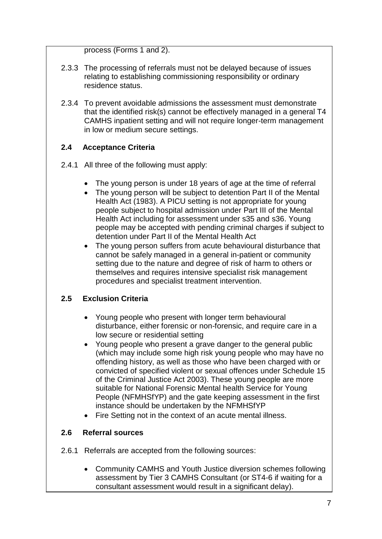process (Forms 1 and 2).

- 2.3.3 The processing of referrals must not be delayed because of issues relating to establishing commissioning responsibility or ordinary residence status.
- 2.3.4 To prevent avoidable admissions the assessment must demonstrate that the identified risk(s) cannot be effectively managed in a general T4 CAMHS inpatient setting and will not require longer-term management in low or medium secure settings.

### **2.4 Acceptance Criteria**

- 2.4.1 All three of the following must apply:
	- The young person is under 18 years of age at the time of referral
	- The young person will be subject to detention Part II of the Mental Health Act (1983). A PICU setting is not appropriate for young people subject to hospital admission under Part III of the Mental Health Act including for assessment under s35 and s36. Young people may be accepted with pending criminal charges if subject to detention under Part II of the Mental Health Act
	- The young person suffers from acute behavioural disturbance that cannot be safely managed in a general in-patient or community setting due to the nature and degree of risk of harm to others or themselves and requires intensive specialist risk management procedures and specialist treatment intervention.

#### **2.5 Exclusion Criteria**

- Young people who present with longer term behavioural disturbance, either forensic or non-forensic, and require care in a low secure or residential setting
- Young people who present a grave danger to the general public (which may include some high risk young people who may have no offending history, as well as those who have been charged with or convicted of specified violent or sexual offences under Schedule 15 of the Criminal Justice Act 2003). These young people are more suitable for National Forensic Mental health Service for Young People (NFMHSfYP) and the gate keeping assessment in the first instance should be undertaken by the NFMHSfYP
- Fire Setting not in the context of an acute mental illness.

#### **2.6 Referral sources**

- 2.6.1 Referrals are accepted from the following sources:
	- Community CAMHS and Youth Justice diversion schemes following assessment by Tier 3 CAMHS Consultant (or ST4-6 if waiting for a consultant assessment would result in a significant delay).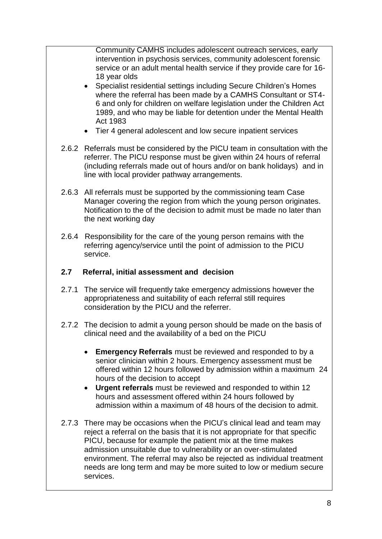Community CAMHS includes adolescent outreach services, early intervention in psychosis services, community adolescent forensic service or an adult mental health service if they provide care for 16- 18 year olds

- Specialist residential settings including Secure Children's Homes where the referral has been made by a CAMHS Consultant or ST4- 6 and only for children on welfare legislation under the Children Act 1989, and who may be liable for detention under the Mental Health Act 1983
- Tier 4 general adolescent and low secure inpatient services
- 2.6.2 Referrals must be considered by the PICU team in consultation with the referrer. The PICU response must be given within 24 hours of referral (including referrals made out of hours and/or on bank holidays) and in line with local provider pathway arrangements.
- 2.6.3 All referrals must be supported by the commissioning team Case Manager covering the region from which the young person originates. Notification to the of the decision to admit must be made no later than the next working day
- 2.6.4 Responsibility for the care of the young person remains with the referring agency/service until the point of admission to the PICU service.

#### **2.7 Referral, initial assessment and decision**

- 2.7.1 The service will frequently take emergency admissions however the appropriateness and suitability of each referral still requires consideration by the PICU and the referrer.
- 2.7.2 The decision to admit a young person should be made on the basis of clinical need and the availability of a bed on the PICU
	- **Emergency Referrals** must be reviewed and responded to by a senior clinician within 2 hours. Emergency assessment must be offered within 12 hours followed by admission within a maximum 24 hours of the decision to accept
	- **Urgent referrals** must be reviewed and responded to within 12 hours and assessment offered within 24 hours followed by admission within a maximum of 48 hours of the decision to admit.
- 2.7.3 There may be occasions when the PICU's clinical lead and team may reject a referral on the basis that it is not appropriate for that specific PICU, because for example the patient mix at the time makes admission unsuitable due to vulnerability or an over-stimulated environment. The referral may also be rejected as individual treatment needs are long term and may be more suited to low or medium secure services.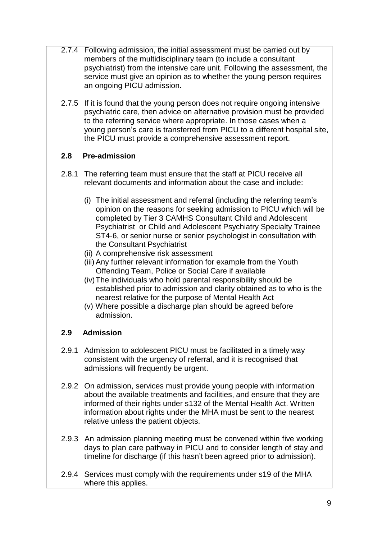- 2.7.4 Following admission, the initial assessment must be carried out by members of the multidisciplinary team (to include a consultant psychiatrist) from the intensive care unit. Following the assessment, the service must give an opinion as to whether the young person requires an ongoing PICU admission.
- 2.7.5 If it is found that the young person does not require ongoing intensive psychiatric care, then advice on alternative provision must be provided to the referring service where appropriate. In those cases when a young person's care is transferred from PICU to a different hospital site, the PICU must provide a comprehensive assessment report.

### **2.8 Pre-admission**

- 2.8.1 The referring team must ensure that the staff at PICU receive all relevant documents and information about the case and include:
	- (i) The initial assessment and referral (including the referring team's opinion on the reasons for seeking admission to PICU which will be completed by Tier 3 CAMHS Consultant Child and Adolescent Psychiatrist or Child and Adolescent Psychiatry Specialty Trainee ST4-6, or senior nurse or senior psychologist in consultation with the Consultant Psychiatrist
	- (ii) A comprehensive risk assessment
	- (iii) Any further relevant information for example from the Youth Offending Team, Police or Social Care if available
	- (iv)The individuals who hold parental responsibility should be established prior to admission and clarity obtained as to who is the nearest relative for the purpose of Mental Health Act
	- (v) Where possible a discharge plan should be agreed before admission.

### **2.9 Admission**

- 2.9.1 Admission to adolescent PICU must be facilitated in a timely way consistent with the urgency of referral, and it is recognised that admissions will frequently be urgent.
- 2.9.2 On admission, services must provide young people with information about the available treatments and facilities, and ensure that they are informed of their rights under s132 of the Mental Health Act. Written information about rights under the MHA must be sent to the nearest relative unless the patient objects.
- 2.9.3 An admission planning meeting must be convened within five working days to plan care pathway in PICU and to consider length of stay and timeline for discharge (if this hasn't been agreed prior to admission).
- 2.9.4 Services must comply with the requirements under s19 of the MHA where this applies.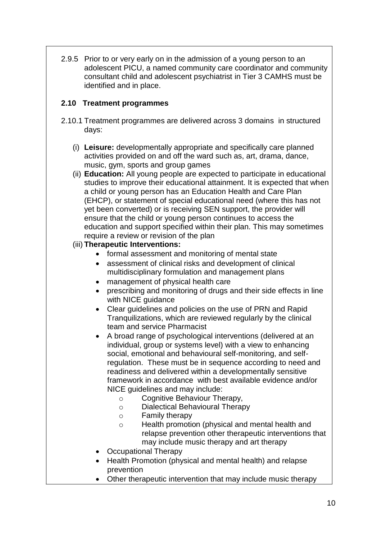2.9.5 Prior to or very early on in the admission of a young person to an adolescent PICU, a named community care coordinator and community consultant child and adolescent psychiatrist in Tier 3 CAMHS must be identified and in place.

### **2.10 Treatment programmes**

- 2.10.1 Treatment programmes are delivered across 3 domains in structured days:
	- (i) **Leisure:** developmentally appropriate and specifically care planned activities provided on and off the ward such as, art, drama, dance, music, gym, sports and group games
	- (ii) **Education:** All young people are expected to participate in educational studies to improve their educational attainment. It is expected that when a child or young person has an Education Health and Care Plan (EHCP), or statement of special educational need (where this has not yet been converted) or is receiving SEN support, the provider will ensure that the child or young person continues to access the education and support specified within their plan. This may sometimes require a review or revision of the plan
	- (iii) **Therapeutic Interventions:**
		- formal assessment and monitoring of mental state
		- assessment of clinical risks and development of clinical multidisciplinary formulation and management plans
		- management of physical health care
		- prescribing and monitoring of drugs and their side effects in line with NICE guidance
		- Clear guidelines and policies on the use of PRN and Rapid Tranquilizations, which are reviewed regularly by the clinical team and service Pharmacist
		- A broad range of psychological interventions (delivered at an individual, group or systems level) with a view to enhancing social, emotional and behavioural self-monitoring, and selfregulation. These must be in sequence according to need and readiness and delivered within a developmentally sensitive framework in accordance with best available evidence and/or NICE guidelines and may include:
			- o Cognitive Behaviour Therapy,
			- o Dialectical Behavioural Therapy
			- o Family therapy
			- o Health promotion (physical and mental health and relapse prevention other therapeutic interventions that may include music therapy and art therapy
		- Occupational Therapy
		- Health Promotion (physical and mental health) and relapse prevention
		- Other therapeutic intervention that may include music therapy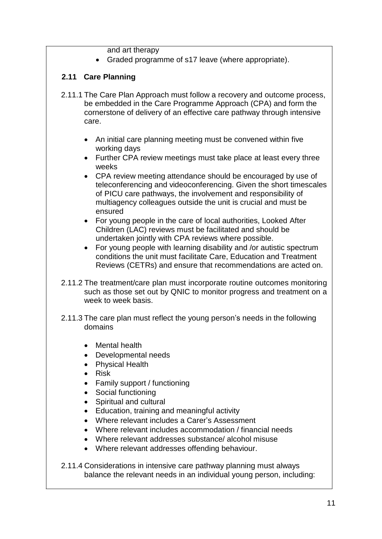and art therapy

Graded programme of s17 leave (where appropriate).

### **2.11 Care Planning**

- 2.11.1 The Care Plan Approach must follow a recovery and outcome process, be embedded in the Care Programme Approach (CPA) and form the cornerstone of delivery of an effective care pathway through intensive care.
	- An initial care planning meeting must be convened within five working days
	- Further CPA review meetings must take place at least every three weeks
	- CPA review meeting attendance should be encouraged by use of teleconferencing and videoconferencing. Given the short timescales of PICU care pathways, the involvement and responsibility of multiagency colleagues outside the unit is crucial and must be ensured
	- For young people in the care of local authorities, Looked After Children (LAC) reviews must be facilitated and should be undertaken jointly with CPA reviews where possible.
	- For young people with learning disability and /or autistic spectrum conditions the unit must facilitate Care, Education and Treatment Reviews (CETRs) and ensure that recommendations are acted on.
- 2.11.2 The treatment/care plan must incorporate routine outcomes monitoring such as those set out by QNIC to monitor progress and treatment on a week to week basis.
- 2.11.3 The care plan must reflect the young person's needs in the following domains
	- Mental health
	- Developmental needs
	- Physical Health
	- Risk
	- Family support / functioning
	- Social functioning
	- Spiritual and cultural
	- Education, training and meaningful activity
	- Where relevant includes a Carer's Assessment
	- Where relevant includes accommodation / financial needs
	- Where relevant addresses substance/ alcohol misuse
	- Where relevant addresses offending behaviour.

2.11.4 Considerations in intensive care pathway planning must always balance the relevant needs in an individual young person, including: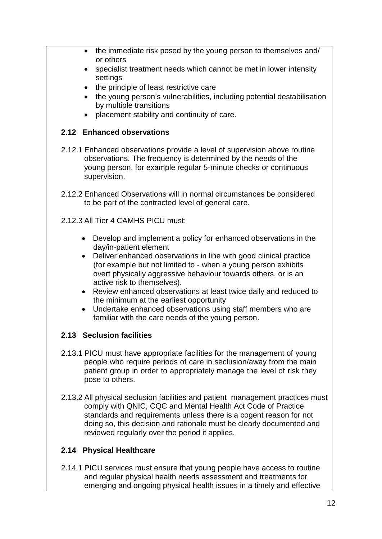- the immediate risk posed by the young person to themselves and/ or others
- specialist treatment needs which cannot be met in lower intensity settings
- the principle of least restrictive care
- the young person's vulnerabilities, including potential destabilisation by multiple transitions
- placement stability and continuity of care.

### **2.12 Enhanced observations**

- 2.12.1 Enhanced observations provide a level of supervision above routine observations. The frequency is determined by the needs of the young person, for example regular 5-minute checks or continuous supervision.
- 2.12.2 Enhanced Observations will in normal circumstances be considered to be part of the contracted level of general care.
- 2.12.3 All Tier 4 CAMHS PICU must:
	- Develop and implement a policy for enhanced observations in the day/in-patient element
	- Deliver enhanced observations in line with good clinical practice (for example but not limited to - when a young person exhibits overt physically aggressive behaviour towards others, or is an active risk to themselves).
	- Review enhanced observations at least twice daily and reduced to the minimum at the earliest opportunity
	- Undertake enhanced observations using staff members who are familiar with the care needs of the young person.

### **2.13 Seclusion facilities**

- 2.13.1 PICU must have appropriate facilities for the management of young people who require periods of care in seclusion/away from the main patient group in order to appropriately manage the level of risk they pose to others.
- 2.13.2 All physical seclusion facilities and patient management practices must comply with QNIC, CQC and Mental Health Act Code of Practice standards and requirements unless there is a cogent reason for not doing so, this decision and rationale must be clearly documented and reviewed regularly over the period it applies.

### **2.14 Physical Healthcare**

2.14.1 PICU services must ensure that young people have access to routine and regular physical health needs assessment and treatments for emerging and ongoing physical health issues in a timely and effective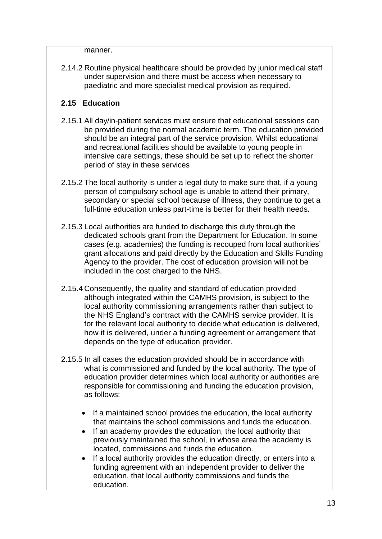manner.

2.14.2 Routine physical healthcare should be provided by junior medical staff under supervision and there must be access when necessary to paediatric and more specialist medical provision as required.

### **2.15 Education**

- 2.15.1 All day/in-patient services must ensure that educational sessions can be provided during the normal academic term. The education provided should be an integral part of the service provision. Whilst educational and recreational facilities should be available to young people in intensive care settings, these should be set up to reflect the shorter period of stay in these services
- 2.15.2 The local authority is under a legal duty to make sure that, if a young person of compulsory school age is unable to attend their primary, secondary or special school because of illness, they continue to get a full-time education unless part-time is better for their health needs.
- 2.15.3 Local authorities are funded to discharge this duty through the dedicated schools grant from the Department for Education. In some cases (e.g. academies) the funding is recouped from local authorities' grant allocations and paid directly by the Education and Skills Funding Agency to the provider. The cost of education provision will not be included in the cost charged to the NHS.
- 2.15.4 Consequently, the quality and standard of education provided although integrated within the CAMHS provision, is subject to the local authority commissioning arrangements rather than subject to the NHS England's contract with the CAMHS service provider. It is for the relevant local authority to decide what education is delivered, how it is delivered, under a funding agreement or arrangement that depends on the type of education provider.
- 2.15.5 In all cases the education provided should be in accordance with what is commissioned and funded by the local authority. The type of education provider determines which local authority or authorities are responsible for commissioning and funding the education provision, as follows:
	- If a maintained school provides the education, the local authority that maintains the school commissions and funds the education.
	- If an academy provides the education, the local authority that previously maintained the school, in whose area the academy is located, commissions and funds the education.
	- If a local authority provides the education directly, or enters into a funding agreement with an independent provider to deliver the education, that local authority commissions and funds the education.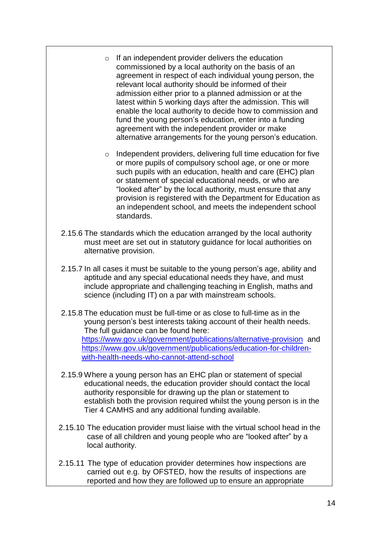- o If an independent provider delivers the education commissioned by a local authority on the basis of an agreement in respect of each individual young person, the relevant local authority should be informed of their admission either prior to a planned admission or at the latest within 5 working days after the admission. This will enable the local authority to decide how to commission and fund the young person's education, enter into a funding agreement with the independent provider or make alternative arrangements for the young person's education.
- o Independent providers, delivering full time education for five or more pupils of compulsory school age, or one or more such pupils with an education, health and care (EHC) plan or statement of special educational needs, or who are "looked after" by the local authority, must ensure that any provision is registered with the Department for Education as an independent school, and meets the independent school standards.
- 2.15.6 The standards which the education arranged by the local authority must meet are set out in statutory guidance for local authorities on alternative provision.
- 2.15.7 In all cases it must be suitable to the young person's age, ability and aptitude and any special educational needs they have, and must include appropriate and challenging teaching in English, maths and science (including IT) on a par with mainstream schools.
- 2.15.8 The education must be full-time or as close to full-time as in the young person's best interests taking account of their health needs. The full guidance can be found here: <https://www.gov.uk/government/publications/alternative-provision> and [https://www.gov.uk/government/publications/education-for-children](https://www.gov.uk/government/publications/education-for-children-with-health-needs-who-cannot-attend-school)[with-health-needs-who-cannot-attend-school](https://www.gov.uk/government/publications/education-for-children-with-health-needs-who-cannot-attend-school)
- 2.15.9 Where a young person has an EHC plan or statement of special educational needs, the education provider should contact the local authority responsible for drawing up the plan or statement to establish both the provision required whilst the young person is in the Tier 4 CAMHS and any additional funding available.
- 2.15.10 The education provider must liaise with the virtual school head in the case of all children and young people who are "looked after" by a local authority.
- 2.15.11 The type of education provider determines how inspections are carried out e.g. by OFSTED, how the results of inspections are reported and how they are followed up to ensure an appropriate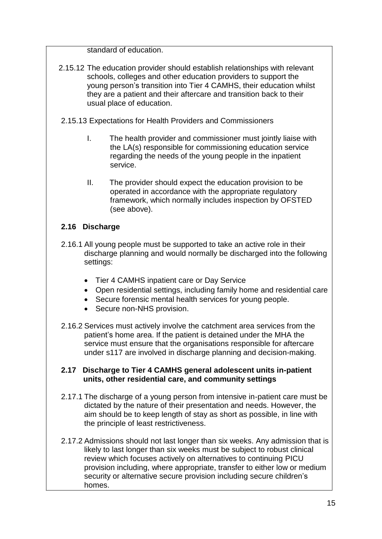standard of education.

- 2.15.12 The education provider should establish relationships with relevant schools, colleges and other education providers to support the young person's transition into Tier 4 CAMHS, their education whilst they are a patient and their aftercare and transition back to their usual place of education.
- 2.15.13 Expectations for Health Providers and Commissioners
	- I. The health provider and commissioner must jointly liaise with the LA(s) responsible for commissioning education service regarding the needs of the young people in the inpatient service.
	- II. The provider should expect the education provision to be operated in accordance with the appropriate regulatory framework, which normally includes inspection by OFSTED (see above).

# **2.16 Discharge**

- 2.16.1 All young people must be supported to take an active role in their discharge planning and would normally be discharged into the following settings:
	- Tier 4 CAMHS inpatient care or Day Service
	- Open residential settings, including family home and residential care
	- Secure forensic mental health services for young people.
	- Secure non-NHS provision.
- 2.16.2 Services must actively involve the catchment area services from the patient's home area. If the patient is detained under the MHA the service must ensure that the organisations responsible for aftercare under s117 are involved in discharge planning and decision-making.

#### **2.17 Discharge to Tier 4 CAMHS general adolescent units in-patient units, other residential care, and community settings**

- 2.17.1 The discharge of a young person from intensive in-patient care must be dictated by the nature of their presentation and needs. However, the aim should be to keep length of stay as short as possible, in line with the principle of least restrictiveness.
- 2.17.2 Admissions should not last longer than six weeks. Any admission that is likely to last longer than six weeks must be subject to robust clinical review which focuses actively on alternatives to continuing PICU provision including, where appropriate, transfer to either low or medium security or alternative secure provision including secure children's homes.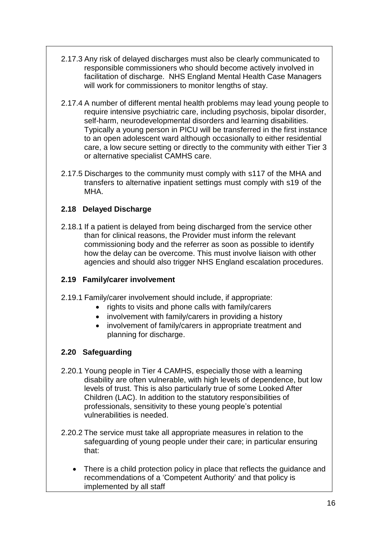- 2.17.3 Any risk of delayed discharges must also be clearly communicated to responsible commissioners who should become actively involved in facilitation of discharge. NHS England Mental Health Case Managers will work for commissioners to monitor lengths of stay.
- 2.17.4 A number of different mental health problems may lead young people to require intensive psychiatric care, including psychosis, bipolar disorder, self-harm, neurodevelopmental disorders and learning disabilities. Typically a young person in PICU will be transferred in the first instance to an open adolescent ward although occasionally to either residential care, a low secure setting or directly to the community with either Tier 3 or alternative specialist CAMHS care.
- 2.17.5 Discharges to the community must comply with s117 of the MHA and transfers to alternative inpatient settings must comply with s19 of the MHA.

### **2.18 Delayed Discharge**

2.18.1 If a patient is delayed from being discharged from the service other than for clinical reasons, the Provider must inform the relevant commissioning body and the referrer as soon as possible to identify how the delay can be overcome. This must involve liaison with other agencies and should also trigger NHS England escalation procedures.

### **2.19 Family/carer involvement**

- 2.19.1 Family/carer involvement should include, if appropriate:
	- rights to visits and phone calls with family/carers
	- involvement with family/carers in providing a history
	- involvement of family/carers in appropriate treatment and planning for discharge.

### **2.20 Safeguarding**

- 2.20.1 Young people in Tier 4 CAMHS, especially those with a learning disability are often vulnerable, with high levels of dependence, but low levels of trust. This is also particularly true of some Looked After Children (LAC). In addition to the statutory responsibilities of professionals, sensitivity to these young people's potential vulnerabilities is needed.
- 2.20.2 The service must take all appropriate measures in relation to the safeguarding of young people under their care; in particular ensuring that:
	- There is a child protection policy in place that reflects the guidance and recommendations of a 'Competent Authority' and that policy is implemented by all staff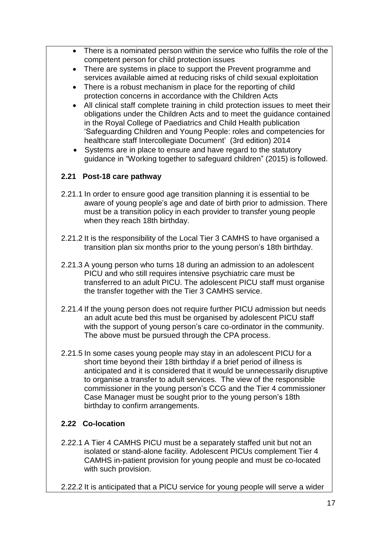- There is a nominated person within the service who fulfils the role of the competent person for child protection issues
- There are systems in place to support the Prevent programme and services available aimed at reducing risks of child sexual exploitation
- There is a robust mechanism in place for the reporting of child protection concerns in accordance with the Children Acts
- All clinical staff complete training in child protection issues to meet their obligations under the Children Acts and to meet the guidance contained in the Royal College of Paediatrics and Child Health publication 'Safeguarding Children and Young People: roles and competencies for healthcare staff Intercollegiate Document' (3rd edition) 2014
- Systems are in place to ensure and have regard to the statutory guidance in "Working together to safeguard children" (2015) is followed.

### **2.21 Post-18 care pathway**

- 2.21.1 In order to ensure good age transition planning it is essential to be aware of young people's age and date of birth prior to admission. There must be a transition policy in each provider to transfer young people when they reach 18th birthday.
- 2.21.2 It is the responsibility of the Local Tier 3 CAMHS to have organised a transition plan six months prior to the young person's 18th birthday.
- 2.21.3 A young person who turns 18 during an admission to an adolescent PICU and who still requires intensive psychiatric care must be transferred to an adult PICU. The adolescent PICU staff must organise the transfer together with the Tier 3 CAMHS service.
- 2.21.4 If the young person does not require further PICU admission but needs an adult acute bed this must be organised by adolescent PICU staff with the support of young person's care co-ordinator in the community. The above must be pursued through the CPA process.
- 2.21.5 In some cases young people may stay in an adolescent PICU for a short time beyond their 18th birthday if a brief period of illness is anticipated and it is considered that it would be unnecessarily disruptive to organise a transfer to adult services. The view of the responsible commissioner in the young person's CCG and the Tier 4 commissioner Case Manager must be sought prior to the young person's 18th birthday to confirm arrangements.

### **2.22 Co-location**

- 2.22.1 A Tier 4 CAMHS PICU must be a separately staffed unit but not an isolated or stand-alone facility. Adolescent PICUs complement Tier 4 CAMHS in-patient provision for young people and must be co-located with such provision.
- 2.22.2 It is anticipated that a PICU service for young people will serve a wider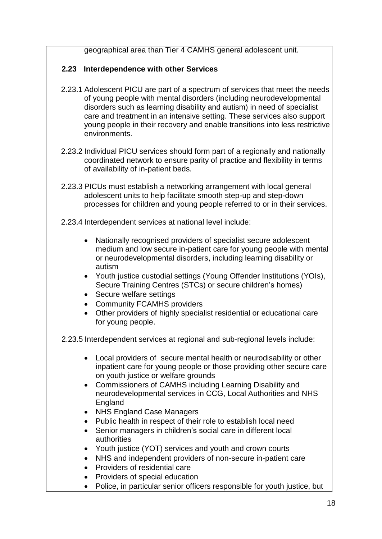geographical area than Tier 4 CAMHS general adolescent unit.

### **2.23 Interdependence with other Services**

- 2.23.1 Adolescent PICU are part of a spectrum of services that meet the needs of young people with mental disorders (including neurodevelopmental disorders such as learning disability and autism) in need of specialist care and treatment in an intensive setting. These services also support young people in their recovery and enable transitions into less restrictive environments.
- 2.23.2 Individual PICU services should form part of a regionally and nationally coordinated network to ensure parity of practice and flexibility in terms of availability of in-patient beds.
- 2.23.3 PICUs must establish a networking arrangement with local general adolescent units to help facilitate smooth step-up and step-down processes for children and young people referred to or in their services.
- 2.23.4 Interdependent services at national level include:
	- Nationally recognised providers of specialist secure adolescent medium and low secure in-patient care for young people with mental or neurodevelopmental disorders, including learning disability or autism
	- Youth justice custodial settings (Young Offender Institutions (YOIs), Secure Training Centres (STCs) or secure children's homes)
	- Secure welfare settings
	- Community FCAMHS providers
	- Other providers of highly specialist residential or educational care for young people.

2.23.5 Interdependent services at regional and sub-regional levels include:

- Local providers of secure mental health or neurodisability or other inpatient care for young people or those providing other secure care on youth justice or welfare grounds
- Commissioners of CAMHS including Learning Disability and neurodevelopmental services in CCG, Local Authorities and NHS England
- NHS England Case Managers
- Public health in respect of their role to establish local need
- Senior managers in children's social care in different local authorities
- Youth justice (YOT) services and youth and crown courts
- NHS and independent providers of non-secure in-patient care
- Providers of residential care
- Providers of special education
- Police, in particular senior officers responsible for youth justice, but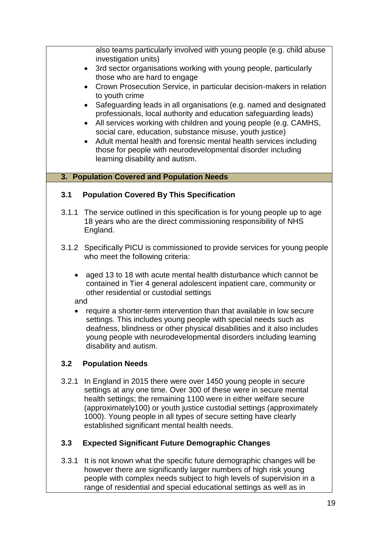also teams particularly involved with young people (e.g. child abuse investigation units)

- 3rd sector organisations working with young people, particularly those who are hard to engage
- Crown Prosecution Service, in particular decision-makers in relation to youth crime
- Safeguarding leads in all organisations (e.g. named and designated professionals, local authority and education safeguarding leads)
- All services working with children and young people (e.g. CAMHS, social care, education, substance misuse, youth justice)
- Adult mental health and forensic mental health services including those for people with neurodevelopmental disorder including learning disability and autism.

#### **3. Population Covered and Population Needs**

### **3.1 Population Covered By This Specification**

- 3.1.1 The service outlined in this specification is for young people up to age 18 years who are the direct commissioning responsibility of NHS England.
- 3.1.2 Specifically PICU is commissioned to provide services for young people who meet the following criteria:
	- aged 13 to 18 with acute mental health disturbance which cannot be contained in Tier 4 general adolescent inpatient care, community or other residential or custodial settings

and

 require a shorter-term intervention than that available in low secure settings. This includes young people with special needs such as deafness, blindness or other physical disabilities and it also includes young people with neurodevelopmental disorders including learning disability and autism.

### **3.2 Population Needs**

3.2.1 In England in 2015 there were over 1450 young people in secure settings at any one time. Over 300 of these were in secure mental health settings; the remaining 1100 were in either welfare secure (approximately100) or youth justice custodial settings (approximately 1000). Young people in all types of secure setting have clearly established significant mental health needs.

### **3.3 Expected Significant Future Demographic Changes**

3.3.1 It is not known what the specific future demographic changes will be however there are significantly larger numbers of high risk young people with complex needs subject to high levels of supervision in a range of residential and special educational settings as well as in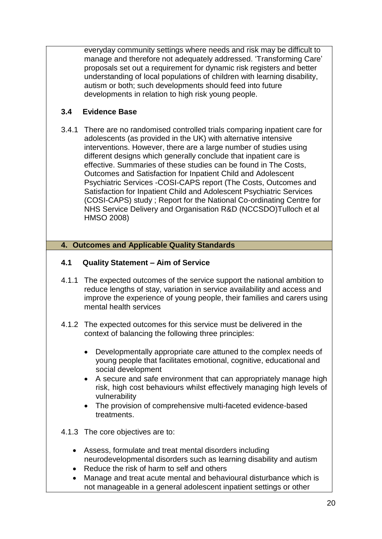everyday community settings where needs and risk may be difficult to manage and therefore not adequately addressed. 'Transforming Care' proposals set out a requirement for dynamic risk registers and better understanding of local populations of children with learning disability, autism or both; such developments should feed into future developments in relation to high risk young people.

### **3.4 Evidence Base**

3.4.1 There are no randomised controlled trials comparing inpatient care for adolescents (as provided in the UK) with alternative intensive interventions. However, there are a large number of studies using different designs which generally conclude that inpatient care is effective. Summaries of these studies can be found in The Costs, Outcomes and Satisfaction for Inpatient Child and Adolescent Psychiatric Services -COSI-CAPS report (The Costs, Outcomes and Satisfaction for Inpatient Child and Adolescent Psychiatric Services (COSI-CAPS) study ; Report for the National Co-ordinating Centre for NHS Service Delivery and Organisation R&D (NCCSDO)Tulloch et al HMSO 2008)

#### **4. Outcomes and Applicable Quality Standards**

#### **4.1 Quality Statement – Aim of Service**

- 4.1.1 The expected outcomes of the service support the national ambition to reduce lengths of stay, variation in service availability and access and improve the experience of young people, their families and carers using mental health services
- 4.1.2 The expected outcomes for this service must be delivered in the context of balancing the following three principles:
	- Developmentally appropriate care attuned to the complex needs of young people that facilitates emotional, cognitive, educational and social development
	- A secure and safe environment that can appropriately manage high risk, high cost behaviours whilst effectively managing high levels of vulnerability
	- The provision of comprehensive multi-faceted evidence-based treatments.
- 4.1.3 The core objectives are to:
	- Assess, formulate and treat mental disorders including neurodevelopmental disorders such as learning disability and autism
	- Reduce the risk of harm to self and others
	- Manage and treat acute mental and behavioural disturbance which is not manageable in a general adolescent inpatient settings or other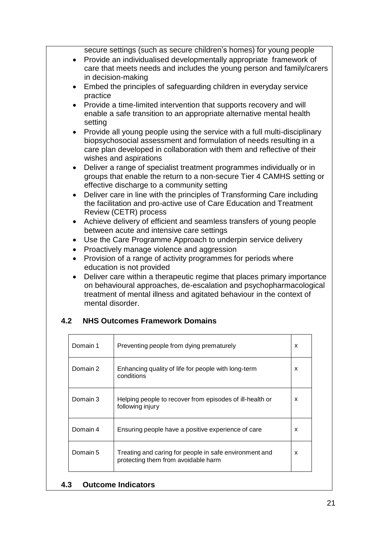secure settings (such as secure children's homes) for young people

- Provide an individualised developmentally appropriate framework of care that meets needs and includes the young person and family/carers in decision-making
- Embed the principles of safeguarding children in everyday service practice
- Provide a time-limited intervention that supports recovery and will enable a safe transition to an appropriate alternative mental health setting
- Provide all young people using the service with a full multi-disciplinary biopsychosocial assessment and formulation of needs resulting in a care plan developed in collaboration with them and reflective of their wishes and aspirations
- Deliver a range of specialist treatment programmes individually or in groups that enable the return to a non-secure Tier 4 CAMHS setting or effective discharge to a community setting
- Deliver care in line with the principles of Transforming Care including the facilitation and pro-active use of Care Education and Treatment Review (CETR) process
- Achieve delivery of efficient and seamless transfers of young people between acute and intensive care settings
- Use the Care Programme Approach to underpin service delivery
- Proactively manage violence and aggression
- Provision of a range of activity programmes for periods where education is not provided
- Deliver care within a therapeutic regime that places primary importance on behavioural approaches, de-escalation and psychopharmacological treatment of mental illness and agitated behaviour in the context of mental disorder.

### **4.2 NHS Outcomes Framework Domains**

| Domain 1 | Preventing people from dying prematurely                                                      | x |
|----------|-----------------------------------------------------------------------------------------------|---|
| Domain 2 | Enhancing quality of life for people with long-term<br>conditions                             | x |
| Domain 3 | Helping people to recover from episodes of ill-health or<br>following injury                  | x |
| Domain 4 | Ensuring people have a positive experience of care                                            | x |
| Domain 5 | Treating and caring for people in safe environment and<br>protecting them from avoidable harm | X |

#### **4.3 Outcome Indicators**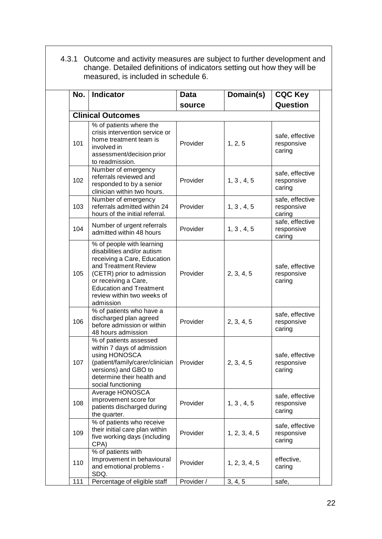| 4.3.1 Outcome and activity measures are subject to further development and |
|----------------------------------------------------------------------------|
| change. Detailed definitions of indicators setting out how they will be    |
| measured, is included in schedule 6.                                       |

| No. | <b>Indicator</b>                                                                                                                                                                                                                                 | Data       | Domain(s)     | <b>CQC Key</b>                          |  |  |  |  |
|-----|--------------------------------------------------------------------------------------------------------------------------------------------------------------------------------------------------------------------------------------------------|------------|---------------|-----------------------------------------|--|--|--|--|
|     |                                                                                                                                                                                                                                                  | source     |               | Question                                |  |  |  |  |
|     | <b>Clinical Outcomes</b>                                                                                                                                                                                                                         |            |               |                                         |  |  |  |  |
| 101 | % of patients where the<br>crisis intervention service or<br>home treatment team is<br>involved in<br>assessment/decision prior<br>to readmission.                                                                                               | Provider   | 1, 2, 5       | safe, effective<br>responsive<br>caring |  |  |  |  |
| 102 | Number of emergency<br>referrals reviewed and<br>responded to by a senior<br>clinician within two hours.                                                                                                                                         | Provider   | 1, 3, 4, 5    | safe, effective<br>responsive<br>caring |  |  |  |  |
| 103 | Number of emergency<br>referrals admitted within 24<br>hours of the initial referral.                                                                                                                                                            | Provider   | 1, 3, 4, 5    | safe, effective<br>responsive<br>caring |  |  |  |  |
| 104 | Number of urgent referrals<br>admitted within 48 hours                                                                                                                                                                                           | Provider   | 1, 3, 4, 5    | safe, effective<br>responsive<br>caring |  |  |  |  |
| 105 | % of people with learning<br>disabilities and/or autism<br>receiving a Care, Education<br>and Treatment Review<br>(CETR) prior to admission<br>or receiving a Care,<br><b>Education and Treatment</b><br>review within two weeks of<br>admission | Provider   | 2, 3, 4, 5    | safe, effective<br>responsive<br>caring |  |  |  |  |
| 106 | % of patients who have a<br>discharged plan agreed<br>before admission or within<br>48 hours admission                                                                                                                                           | Provider   | 2, 3, 4, 5    | safe, effective<br>responsive<br>caring |  |  |  |  |
| 107 | % of patients assessed<br>within 7 days of admission<br>using HONOSCA<br>(patient/family/carer/clinician<br>versions) and GBO to<br>determine their health and<br>social functioning                                                             | Provider   | 2, 3, 4, 5    | safe, effective<br>responsive<br>caring |  |  |  |  |
| 108 | Average HONOSCA<br>improvement score for<br>patients discharged during<br>the quarter.                                                                                                                                                           | Provider   | 1, 3, 4, 5    | safe, effective<br>responsive<br>caring |  |  |  |  |
| 109 | % of patients who receive<br>their initial care plan within<br>five working days (including<br>CPA)                                                                                                                                              | Provider   | 1, 2, 3, 4, 5 | safe, effective<br>responsive<br>caring |  |  |  |  |
| 110 | % of patients with<br>Improvement in behavioural<br>and emotional problems -<br>SDQ.                                                                                                                                                             | Provider   | 1, 2, 3, 4, 5 | effective,<br>caring                    |  |  |  |  |
| 111 | Percentage of eligible staff                                                                                                                                                                                                                     | Provider / | 3, 4, 5       | safe,                                   |  |  |  |  |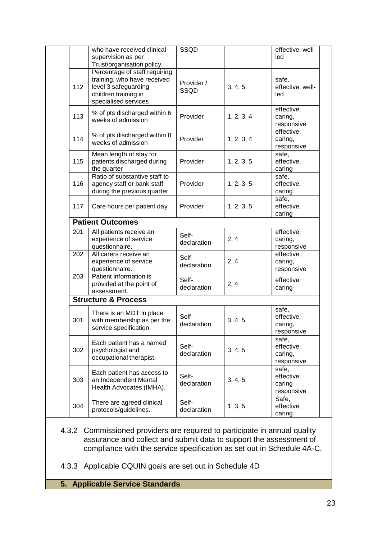|     | who have received clinical                         | SSQD                 |            | effective, well- |
|-----|----------------------------------------------------|----------------------|------------|------------------|
|     | supervision as per                                 |                      |            | led              |
|     | Trust/organisation policy.                         |                      |            |                  |
|     | Percentage of staff requiring                      |                      |            |                  |
|     | training, who have received                        |                      |            | safe,            |
| 112 | level 3 safeguarding                               | Provider /           | 3, 4, 5    | effective, well- |
|     | children training in                               | SSQD                 |            | led              |
|     | specialised services                               |                      |            |                  |
|     |                                                    |                      |            | effective,       |
| 113 | % of pts discharged within 6                       | Provider             | 1, 2, 3, 4 | caring,          |
|     | weeks of admission                                 |                      |            | responsive       |
|     |                                                    |                      |            | effective,       |
| 114 | % of pts discharged within 8                       | Provider             | 1, 2, 3, 4 | caring,          |
|     | weeks of admission                                 |                      |            | responsive       |
|     | Mean length of stay for                            |                      |            | safe,            |
| 115 | patients discharged during                         | Provider             | 1, 2, 3, 5 | effective,       |
|     |                                                    |                      |            |                  |
|     | the quarter<br>Ratio of substantive staff to       |                      |            | caring           |
|     |                                                    |                      |            | safe.            |
| 116 | agency staff or bank staff                         | Provider             | 1, 2, 3, 5 | effective,       |
|     | during the previous quarter.                       |                      |            | caring           |
|     |                                                    |                      |            | safe,            |
| 117 | Care hours per patient day                         | Provider             | 1, 2, 3, 5 | effective,       |
|     |                                                    |                      |            | caring           |
|     | <b>Patient Outcomes</b>                            |                      |            |                  |
| 201 | All patients receive an                            | Self-                |            | effective,       |
|     | experience of service                              | declaration          | 2, 4       | caring,          |
|     | questionnaire.                                     |                      |            | responsive       |
| 202 | All carers receive an                              | Self-                |            | effective,       |
|     | experience of service                              | declaration          | 2, 4       | caring,          |
|     | questionnaire.                                     |                      |            | responsive       |
| 203 | Patient information is                             | Self-                |            | effective        |
|     | provided at the point of                           | declaration          | 2, 4       | caring           |
|     | assessment.                                        |                      |            |                  |
|     | <b>Structure &amp; Process</b>                     |                      |            |                  |
|     |                                                    |                      |            | safe,            |
|     | There is an MDT in place                           | Self-                |            | effective,       |
| 301 | with membership as per the                         | declaration          | 3, 4, 5    | caring,          |
|     | service specification.                             |                      |            | responsive       |
|     |                                                    |                      |            | safe,            |
| 302 | Each patient has a named                           | Self-                |            | effective,       |
|     | psychologist and                                   | declaration          | 3, 4, 5    | caring,          |
|     | occupational therapist.                            |                      |            | responsive       |
|     |                                                    |                      |            | safe,            |
|     |                                                    |                      |            | effective,       |
|     | Each patient has access to                         | Self-                |            |                  |
| 303 | an Independent Mental                              | declaration          | 3, 4, 5    | caring           |
|     | Health Advocates (IMHA).                           |                      |            | responsive       |
|     |                                                    |                      |            | Safe,            |
| 304 | There are agreed clinical<br>protocols/guidelines. | Self-<br>declaration | 1, 3, 5    | effective,       |

- 4.3.2 Commissioned providers are required to participate in annual quality assurance and collect and submit data to support the assessment of compliance with the service specification as set out in Schedule 4A-C.
- 4.3.3 Applicable CQUIN goals are set out in Schedule 4D
- **5. Applicable Service Standards**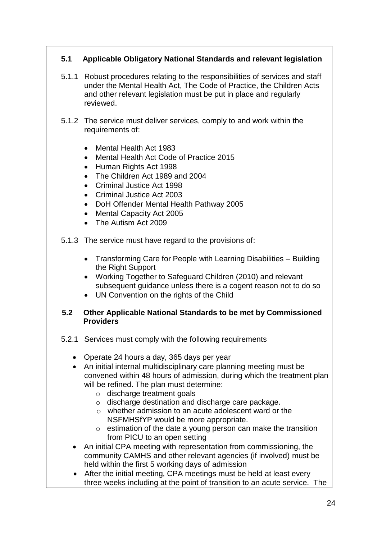### **5.1 Applicable Obligatory National Standards and relevant legislation**

- 5.1.1 Robust procedures relating to the responsibilities of services and staff under the Mental Health Act, The Code of Practice, the Children Acts and other relevant legislation must be put in place and regularly reviewed.
- 5.1.2 The service must deliver services, comply to and work within the requirements of:
	- Mental Health Act 1983
	- Mental Health Act Code of Practice 2015
	- Human Rights Act 1998
	- The Children Act 1989 and 2004
	- Criminal Justice Act 1998
	- Criminal Justice Act 2003
	- DoH Offender Mental Health Pathway 2005
	- Mental Capacity Act 2005
	- The Autism Act 2009
- 5.1.3 The service must have regard to the provisions of:
	- Transforming Care for People with Learning Disabilities Building the Right Support
	- Working Together to Safeguard Children (2010) and relevant subsequent guidance unless there is a cogent reason not to do so
	- UN Convention on the rights of the Child

#### **5.2 Other Applicable National Standards to be met by Commissioned Providers**

- 5.2.1 Services must comply with the following requirements
	- Operate 24 hours a day, 365 days per year
	- An initial internal multidisciplinary care planning meeting must be convened within 48 hours of admission, during which the treatment plan will be refined. The plan must determine:
		- o discharge treatment goals
		- o discharge destination and discharge care package.
		- o whether admission to an acute adolescent ward or the NSFMHSfYP would be more appropriate.
		- $\circ$  estimation of the date a young person can make the transition from PICU to an open setting
	- An initial CPA meeting with representation from commissioning, the community CAMHS and other relevant agencies (if involved) must be held within the first 5 working days of admission
	- After the initial meeting, CPA meetings must be held at least every three weeks including at the point of transition to an acute service. The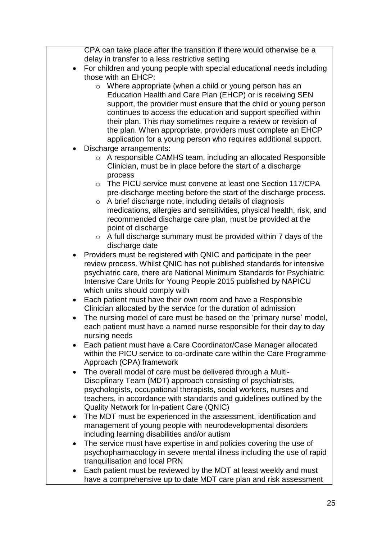CPA can take place after the transition if there would otherwise be a delay in transfer to a less restrictive setting

- For children and young people with special educational needs including those with an EHCP:
	- o Where appropriate (when a child or young person has an Education Health and Care Plan (EHCP) or is receiving SEN support, the provider must ensure that the child or young person continues to access the education and support specified within their plan. This may sometimes require a review or revision of the plan. When appropriate, providers must complete an EHCP application for a young person who requires additional support.
- Discharge arrangements:
	- o A responsible CAMHS team, including an allocated Responsible Clinician, must be in place before the start of a discharge process
	- o The PICU service must convene at least one Section 117/CPA pre-discharge meeting before the start of the discharge process.
	- o A brief discharge note, including details of diagnosis medications, allergies and sensitivities, physical health, risk, and recommended discharge care plan, must be provided at the point of discharge
	- $\circ$  A full discharge summary must be provided within 7 days of the discharge date
- Providers must be registered with QNIC and participate in the peer review process. Whilst QNIC has not published standards for intensive psychiatric care, there are National Minimum Standards for Psychiatric Intensive Care Units for Young People 2015 published by NAPICU which units should comply with
- Each patient must have their own room and have a Responsible Clinician allocated by the service for the duration of admission
- The nursing model of care must be based on the 'primary nurse' model, each patient must have a named nurse responsible for their day to day nursing needs
- Each patient must have a Care Coordinator/Case Manager allocated within the PICU service to co-ordinate care within the Care Programme Approach (CPA) framework
- The overall model of care must be delivered through a Multi-Disciplinary Team (MDT) approach consisting of psychiatrists, psychologists, occupational therapists, social workers, nurses and teachers, in accordance with standards and guidelines outlined by the Quality Network for In-patient Care (QNIC)
- The MDT must be experienced in the assessment, identification and management of young people with neurodevelopmental disorders including learning disabilities and/or autism
- The service must have expertise in and policies covering the use of psychopharmacology in severe mental illness including the use of rapid tranquilisation and local PRN
- Each patient must be reviewed by the MDT at least weekly and must have a comprehensive up to date MDT care plan and risk assessment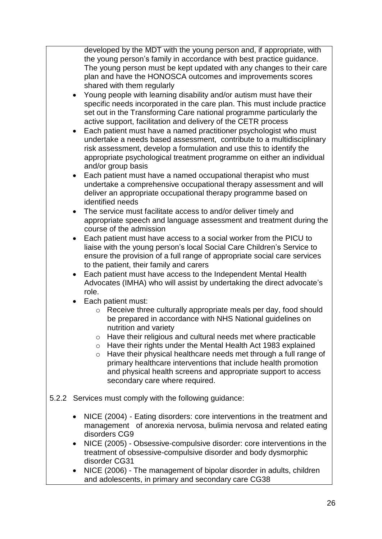developed by the MDT with the young person and, if appropriate, with the young person's family in accordance with best practice guidance. The young person must be kept updated with any changes to their care plan and have the HONOSCA outcomes and improvements scores shared with them regularly

- Young people with learning disability and/or autism must have their specific needs incorporated in the care plan. This must include practice set out in the Transforming Care national programme particularly the active support, facilitation and delivery of the CETR process
- Each patient must have a named practitioner psychologist who must undertake a needs based assessment, contribute to a multidisciplinary risk assessment, develop a formulation and use this to identify the appropriate psychological treatment programme on either an individual and/or group basis
- Each patient must have a named occupational therapist who must undertake a comprehensive occupational therapy assessment and will deliver an appropriate occupational therapy programme based on identified needs
- The service must facilitate access to and/or deliver timely and appropriate speech and language assessment and treatment during the course of the admission
- Each patient must have access to a social worker from the PICU to liaise with the young person's local Social Care Children's Service to ensure the provision of a full range of appropriate social care services to the patient, their family and carers
- Each patient must have access to the Independent Mental Health Advocates (IMHA) who will assist by undertaking the direct advocate's role.
- Each patient must:
	- o Receive three culturally appropriate meals per day, food should be prepared in accordance with NHS National guidelines on nutrition and variety
	- o Have their religious and cultural needs met where practicable
	- o Have their rights under the Mental Health Act 1983 explained
	- o Have their physical healthcare needs met through a full range of primary healthcare interventions that include health promotion and physical health screens and appropriate support to access secondary care where required.
- 5.2.2 Services must comply with the following guidance:
	- NICE (2004) Eating disorders: core interventions in the treatment and management of anorexia nervosa, bulimia nervosa and related eating disorders CG9
	- NICE (2005) Obsessive-compulsive disorder: core interventions in the treatment of obsessive-compulsive disorder and body dysmorphic disorder CG31
	- NICE (2006) The management of bipolar disorder in adults, children and adolescents, in primary and secondary care CG38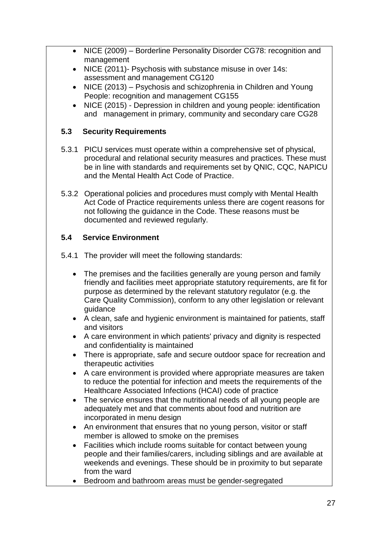- NICE (2009) Borderline Personality Disorder CG78: recognition and management
- NICE (2011)- Psychosis with substance misuse in over 14s: assessment and management CG120
- NICE (2013) Psychosis and schizophrenia in Children and Young People: recognition and management CG155
- NICE (2015) Depression in children and young people: identification and management in primary, community and secondary care CG28

### **5.3 Security Requirements**

- 5.3.1 PICU services must operate within a comprehensive set of physical, procedural and relational security measures and practices. These must be in line with standards and requirements set by QNIC, CQC, NAPICU and the Mental Health Act Code of Practice.
- 5.3.2 Operational policies and procedures must comply with Mental Health Act Code of Practice requirements unless there are cogent reasons for not following the guidance in the Code. These reasons must be documented and reviewed regularly.

# **5.4 Service Environment**

5.4.1 The provider will meet the following standards:

- The premises and the facilities generally are young person and family friendly and facilities meet appropriate statutory requirements, are fit for purpose as determined by the relevant statutory regulator (e.g. the Care Quality Commission), conform to any other legislation or relevant guidance
- A clean, safe and hygienic environment is maintained for patients, staff and visitors
- A care environment in which patients' privacy and dignity is respected and confidentiality is maintained
- There is appropriate, safe and secure outdoor space for recreation and therapeutic activities
- A care environment is provided where appropriate measures are taken to reduce the potential for infection and meets the requirements of the Healthcare Associated Infections (HCAI) code of practice
- The service ensures that the nutritional needs of all young people are adequately met and that comments about food and nutrition are incorporated in menu design
- An environment that ensures that no young person, visitor or staff member is allowed to smoke on the premises
- Facilities which include rooms suitable for contact between young people and their families/carers, including siblings and are available at weekends and evenings. These should be in proximity to but separate from the ward
- Bedroom and bathroom areas must be gender-segregated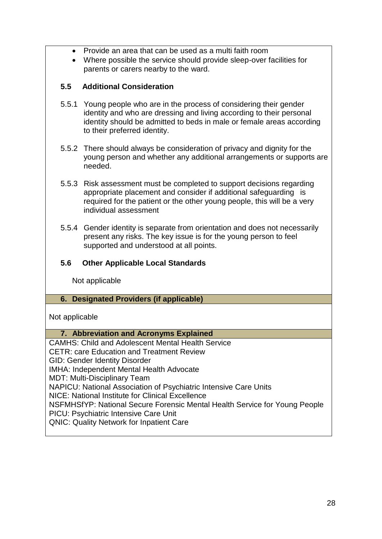- Provide an area that can be used as a multi faith room
- Where possible the service should provide sleep-over facilities for parents or carers nearby to the ward.

#### **5.5 Additional Consideration**

- 5.5.1 Young people who are in the process of considering their gender identity and who are dressing and living according to their personal identity should be admitted to beds in male or female areas according to their preferred identity.
- 5.5.2 There should always be consideration of privacy and dignity for the young person and whether any additional arrangements or supports are needed.
- 5.5.3 Risk assessment must be completed to support decisions regarding appropriate placement and consider if additional safeguarding is required for the patient or the other young people, this will be a very individual assessment
- 5.5.4 Gender identity is separate from orientation and does not necessarily present any risks. The key issue is for the young person to feel supported and understood at all points.

### **5.6 Other Applicable Local Standards**

Not applicable

#### **6. Designated Providers (if applicable)**

Not applicable

#### **7. Abbreviation and Acronyms Explained**

CAMHS: Child and Adolescent Mental Health Service CETR: care Education and Treatment Review GID: Gender Identity Disorder IMHA: Independent Mental Health Advocate MDT: Multi-Disciplinary Team NAPICU: National Association of Psychiatric Intensive Care Units NICE: National Institute for Clinical Excellence NSFMHSfYP: National Secure Forensic Mental Health Service for Young People PICU: Psychiatric Intensive Care Unit QNIC: Quality Network for Inpatient Care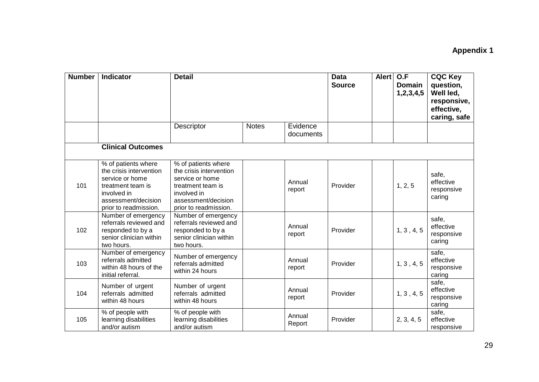# **Appendix 1**

| <b>Number</b> | Indicator                                                                                                                                             | <b>Detail</b>                                                                                                                                         |              |                       | <b>Data</b><br><b>Source</b> | <b>Alert</b> | O.F<br><b>Domain</b><br>1, 2, 3, 4, 5 | <b>CQC Key</b><br>question,<br>Well led,<br>responsive,<br>effective,<br>caring, safe |
|---------------|-------------------------------------------------------------------------------------------------------------------------------------------------------|-------------------------------------------------------------------------------------------------------------------------------------------------------|--------------|-----------------------|------------------------------|--------------|---------------------------------------|---------------------------------------------------------------------------------------|
|               |                                                                                                                                                       | Descriptor                                                                                                                                            | <b>Notes</b> | Evidence<br>documents |                              |              |                                       |                                                                                       |
|               | <b>Clinical Outcomes</b>                                                                                                                              |                                                                                                                                                       |              |                       |                              |              |                                       |                                                                                       |
| 101           | % of patients where<br>the crisis intervention<br>service or home<br>treatment team is<br>involved in<br>assessment/decision<br>prior to readmission. | % of patients where<br>the crisis intervention<br>service or home<br>treatment team is<br>involved in<br>assessment/decision<br>prior to readmission. |              | Annual<br>report      | Provider                     |              | 1, 2, 5                               | safe,<br>effective<br>responsive<br>caring                                            |
| 102           | Number of emergency<br>referrals reviewed and<br>responded to by a<br>senior clinician within<br>two hours.                                           | Number of emergency<br>referrals reviewed and<br>responded to by a<br>senior clinician within<br>two hours.                                           |              | Annual<br>report      | Provider                     |              | 1, 3, 4, 5                            | safe,<br>effective<br>responsive<br>caring                                            |
| 103           | Number of emergency<br>referrals admitted<br>within 48 hours of the<br>initial referral.                                                              | Number of emergency<br>referrals admitted<br>within 24 hours                                                                                          |              | Annual<br>report      | Provider                     |              | 1, 3, 4, 5                            | safe,<br>effective<br>responsive<br>caring                                            |
| 104           | Number of urgent<br>referrals admitted<br>within 48 hours                                                                                             | Number of urgent<br>referrals admitted<br>within 48 hours                                                                                             |              | Annual<br>report      | Provider                     |              | 1, 3, 4, 5                            | safe,<br>effective<br>responsive<br>caring                                            |
| 105           | % of people with<br>learning disabilities<br>and/or autism                                                                                            | % of people with<br>learning disabilities<br>and/or autism                                                                                            |              | Annual<br>Report      | Provider                     |              | 2, 3, 4, 5                            | safe,<br>effective<br>responsive                                                      |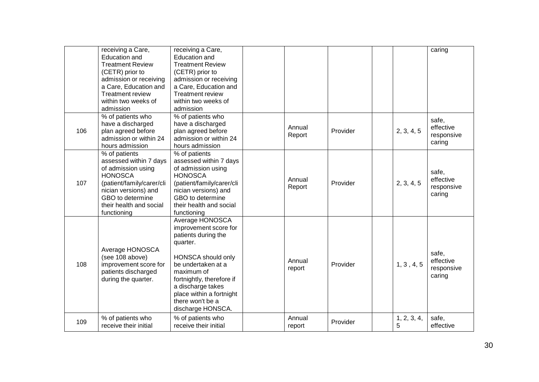|     | receiving a Care,<br><b>Education and</b><br><b>Treatment Review</b><br>(CETR) prior to<br>admission or receiving<br>a Care, Education and<br><b>Treatment review</b><br>within two weeks of<br>admission | receiving a Care,<br><b>Education and</b><br><b>Treatment Review</b><br>(CETR) prior to<br>admission or receiving<br>a Care, Education and<br><b>Treatment review</b><br>within two weeks of<br>admission                                                           |                  |          |                  | caring                                     |
|-----|-----------------------------------------------------------------------------------------------------------------------------------------------------------------------------------------------------------|---------------------------------------------------------------------------------------------------------------------------------------------------------------------------------------------------------------------------------------------------------------------|------------------|----------|------------------|--------------------------------------------|
| 106 | % of patients who<br>have a discharged<br>plan agreed before<br>admission or within 24<br>hours admission                                                                                                 | % of patients who<br>have a discharged<br>plan agreed before<br>admission or within 24<br>hours admission                                                                                                                                                           | Annual<br>Report | Provider | 2, 3, 4, 5       | safe,<br>effective<br>responsive<br>caring |
| 107 | % of patients<br>assessed within 7 days<br>of admission using<br><b>HONOSCA</b><br>(patient/family/carer/cli<br>nician versions) and<br>GBO to determine<br>their health and social<br>functioning        | % of patients<br>assessed within 7 days<br>of admission using<br><b>HONOSCA</b><br>(patient/family/carer/cli<br>nician versions) and<br>GBO to determine<br>their health and social<br>functioning                                                                  | Annual<br>Report | Provider | 2, 3, 4, 5       | safe,<br>effective<br>responsive<br>caring |
| 108 | Average HONOSCA<br>(see 108 above)<br>improvement score for<br>patients discharged<br>during the quarter.                                                                                                 | Average HONOSCA<br>improvement score for<br>patients during the<br>quarter.<br><b>HONSCA</b> should only<br>be undertaken at a<br>maximum of<br>fortnightly, therefore if<br>a discharge takes<br>place within a fortnight<br>there won't be a<br>discharge HONSCA. | Annual<br>report | Provider | 1, 3, 4, 5       | safe,<br>effective<br>responsive<br>caring |
| 109 | % of patients who<br>receive their initial                                                                                                                                                                | % of patients who<br>receive their initial                                                                                                                                                                                                                          | Annual<br>report | Provider | 1, 2, 3, 4,<br>5 | safe,<br>effective                         |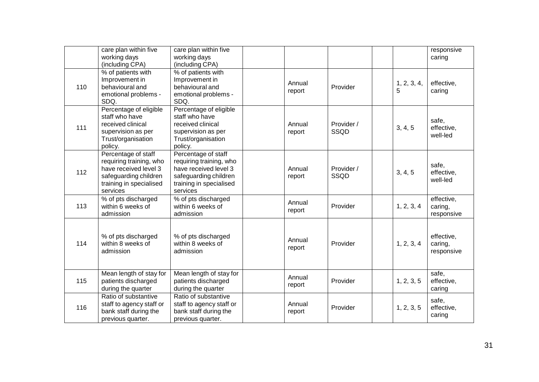|     | care plan within five<br>working days<br>(including CPA)                                                                                | care plan within five<br>working days<br>(including CPA)                                                                                |                  |                    |   |             | responsive<br>caring                |
|-----|-----------------------------------------------------------------------------------------------------------------------------------------|-----------------------------------------------------------------------------------------------------------------------------------------|------------------|--------------------|---|-------------|-------------------------------------|
| 110 | % of patients with<br>Improvement in<br>behavioural and<br>emotional problems -<br>SDQ.                                                 | % of patients with<br>Improvement in<br>behavioural and<br>emotional problems -<br>SDQ.                                                 | Annual<br>report | Provider           | 5 | 1, 2, 3, 4, | effective,<br>caring                |
| 111 | Percentage of eligible<br>staff who have<br>received clinical<br>supervision as per<br>Trust/organisation<br>policy.                    | Percentage of eligible<br>staff who have<br>received clinical<br>supervision as per<br>Trust/organisation<br>policy.                    | Annual<br>report | Provider /<br>SSQD |   | 3, 4, 5     | safe,<br>effective,<br>well-led     |
| 112 | Percentage of staff<br>requiring training, who<br>have received level 3<br>safeguarding children<br>training in specialised<br>services | Percentage of staff<br>requiring training, who<br>have received level 3<br>safeguarding children<br>training in specialised<br>services | Annual<br>report | Provider /<br>SSQD |   | 3, 4, 5     | safe,<br>effective,<br>well-led     |
| 113 | % of pts discharged<br>within 6 weeks of<br>admission                                                                                   | % of pts discharged<br>within 6 weeks of<br>admission                                                                                   | Annual<br>report | Provider           |   | 1, 2, 3, 4  | effective,<br>caring,<br>responsive |
| 114 | % of pts discharged<br>within 8 weeks of<br>admission                                                                                   | % of pts discharged<br>within 8 weeks of<br>admission                                                                                   | Annual<br>report | Provider           |   | 1, 2, 3, 4  | effective,<br>caring,<br>responsive |
| 115 | Mean length of stay for<br>patients discharged<br>during the quarter                                                                    | Mean length of stay for<br>patients discharged<br>during the quarter                                                                    | Annual<br>report | Provider           |   | 1, 2, 3, 5  | safe,<br>effective,<br>caring       |
| 116 | Ratio of substantive<br>staff to agency staff or<br>bank staff during the<br>previous quarter.                                          | Ratio of substantive<br>staff to agency staff or<br>bank staff during the<br>previous quarter.                                          | Annual<br>report | Provider           |   | 1, 2, 3, 5  | safe,<br>effective,<br>caring       |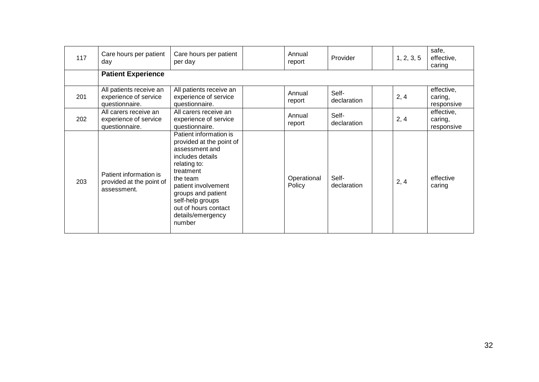| 117 | Care hours per patient<br>day                                      | Care hours per patient<br>per day                                                                                                                                                                                                                         | Annual<br>report      | Provider             | 1, 2, 3, 5 | safe,<br>effective,<br>caring       |
|-----|--------------------------------------------------------------------|-----------------------------------------------------------------------------------------------------------------------------------------------------------------------------------------------------------------------------------------------------------|-----------------------|----------------------|------------|-------------------------------------|
|     | <b>Patient Experience</b>                                          |                                                                                                                                                                                                                                                           |                       |                      |            |                                     |
| 201 | All patients receive an<br>experience of service<br>questionnaire. | All patients receive an<br>experience of service<br>questionnaire.                                                                                                                                                                                        | Annual<br>report      | Self-<br>declaration | 2, 4       | effective,<br>caring,<br>responsive |
| 202 | All carers receive an<br>experience of service<br>questionnaire.   | All carers receive an<br>experience of service<br>questionnaire.                                                                                                                                                                                          | Annual<br>report      | Self-<br>declaration | 2, 4       | effective,<br>caring,<br>responsive |
| 203 | Patient information is<br>provided at the point of<br>assessment.  | Patient information is<br>provided at the point of<br>assessment and<br>includes details<br>relating to:<br>treatment<br>the team<br>patient involvement<br>groups and patient<br>self-help groups<br>out of hours contact<br>details/emergency<br>number | Operational<br>Policy | Self-<br>declaration | 2, 4       | effective<br>caring                 |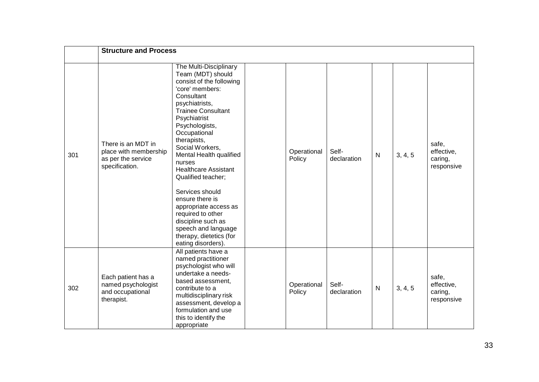|     | <b>Structure and Process</b>                                                        |                                                                                                                                                                                                                                                                                                                                                                                                                                                                                                                         |                       |                      |              |         |                                              |
|-----|-------------------------------------------------------------------------------------|-------------------------------------------------------------------------------------------------------------------------------------------------------------------------------------------------------------------------------------------------------------------------------------------------------------------------------------------------------------------------------------------------------------------------------------------------------------------------------------------------------------------------|-----------------------|----------------------|--------------|---------|----------------------------------------------|
| 301 | There is an MDT in<br>place with membership<br>as per the service<br>specification. | The Multi-Disciplinary<br>Team (MDT) should<br>consist of the following<br>'core' members:<br>Consultant<br>psychiatrists,<br><b>Trainee Consultant</b><br>Psychiatrist<br>Psychologists,<br>Occupational<br>therapists,<br>Social Workers,<br>Mental Health qualified<br>nurses<br><b>Healthcare Assistant</b><br>Qualified teacher;<br>Services should<br>ensure there is<br>appropriate access as<br>required to other<br>discipline such as<br>speech and language<br>therapy, dietetics (for<br>eating disorders). | Operational<br>Policy | Self-<br>declaration | $\mathsf{N}$ | 3, 4, 5 | safe,<br>effective,<br>caring,<br>responsive |
| 302 | Each patient has a<br>named psychologist<br>and occupational<br>therapist.          | All patients have a<br>named practitioner<br>psychologist who will<br>undertake a needs-<br>based assessment,<br>contribute to a<br>multidisciplinary risk<br>assessment, develop a<br>formulation and use<br>this to identify the<br>appropriate                                                                                                                                                                                                                                                                       | Operational<br>Policy | Self-<br>declaration | N            | 3, 4, 5 | safe,<br>effective,<br>caring,<br>responsive |